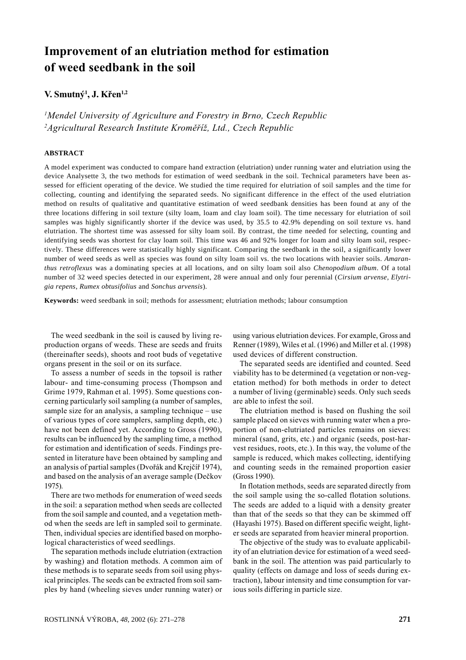# Improvement of an elutriation method for estimation of weed seedbank in the soil

# V. Smutný<sup>1</sup>, J. Křen<sup>1,2</sup>

<sup>1</sup>Mendel University of Agriculture and Forestry in Brno, Czech Republic  ${}^{2}$ Agricultural Research Institute Kroměříž, Ltd., Czech Republic

# **ABSTRACT**

A model experiment was conducted to compare hand extraction (elutriation) under running water and elutriation using the device Analysette 3, the two methods for estimation of weed seedbank in the soil. Technical parameters have been assessed for efficient operating of the device. We studied the time required for elutriation of soil samples and the time for collecting, counting and identifying the separated seeds. No significant difference in the effect of the used elutriation method on results of qualitative and quantitative estimation of weed seedbank densities has been found at any of the three locations differing in soil texture (silty loam, loam and clay loam soil). The time necessary for elutriation of soil samples was highly significantly shorter if the device was used, by 35.5 to 42.9% depending on soil texture vs. hand elutriation. The shortest time was assessed for silty loam soil. By contrast, the time needed for selecting, counting and identifying seeds was shortest for clay loam soil. This time was 46 and 92% longer for loam and silty loam soil, respectively. These differences were statistically highly significant. Comparing the seedbank in the soil, a significantly lower number of weed seeds as well as species was found on silty loam soil vs. the two locations with heavier soils. *Amaranthus retroflexus* was a dominating species at all locations, and on silty loam soil also *Chenopodium album*. Of a total number of 32 weed species detected in our experiment, 28 were annual and only four perennial (*Cirsium arvense*, *Elytrigia repens*, *Rumex obtusifolius* and *Sonchus arvensis*).

**Keywords:** weed seedbank in soil; methods for assessment; elutriation methods; labour consumption

The weed seedbank in the soil is caused by living reproduction organs of weeds. These are seeds and fruits (thereinafter seeds), shoots and root buds of vegetative organs present in the soil or on its surface.

To assess a number of seeds in the topsoil is rather labour- and time-consuming process (Thompson and Grime 1979, Rahman et al. 1995). Some questions concerning particularly soil sampling (a number of samples, sample size for an analysis, a sampling technique – use of various types of core samplers, sampling depth, etc.) have not been defined yet. According to Gross (1990), results can be influenced by the sampling time, a method for estimation and identification of seeds. Findings presented in literature have been obtained by sampling and an analysis of partial samples (Dvořák and Krejčíř 1974), and based on the analysis of an average sample (Dečkov  $1975$ ).

There are two methods for enumeration of weed seeds in the soil: a separation method when seeds are collected from the soil sample and counted, and a vegetation method when the seeds are left in sampled soil to germinate. Then, individual species are identified based on morphological characteristics of weed seedlings.

The separation methods include elutriation (extraction by washing) and flotation methods. A common aim of these methods is to separate seeds from soil using physical principles. The seeds can be extracted from soil samples by hand (wheeling sieves under running water) or using various elutriation devices. For example, Gross and Renner (1989), Wiles et al. (1996) and Miller et al. (1998) used devices of different construction.

The separated seeds are identified and counted. Seed viability has to be determined (a vegetation or non-vegetation method) for both methods in order to detect a number of living (germinable) seeds. Only such seeds are able to infest the soil.

The elutriation method is based on flushing the soil sample placed on sieves with running water when a proportion of non-elutriated particles remains on sieves: mineral (sand, grits, etc.) and organic (seeds, post-harvest residues, roots, etc.). In this way, the volume of the sample is reduced, which makes collecting, identifying and counting seeds in the remained proportion easier (Gross 1990).

In flotation methods, seeds are separated directly from the soil sample using the so-called flotation solutions. The seeds are added to a liquid with a density greater than that of the seeds so that they can be skimmed off (Hayashi 1975). Based on different specific weight, lighter seeds are separated from heavier mineral proportion.

The objective of the study was to evaluate applicability of an elutriation device for estimation of a weed seedbank in the soil. The attention was paid particularly to quality (effects on damage and loss of seeds during extraction), labour intensity and time consumption for various soils differing in particle size.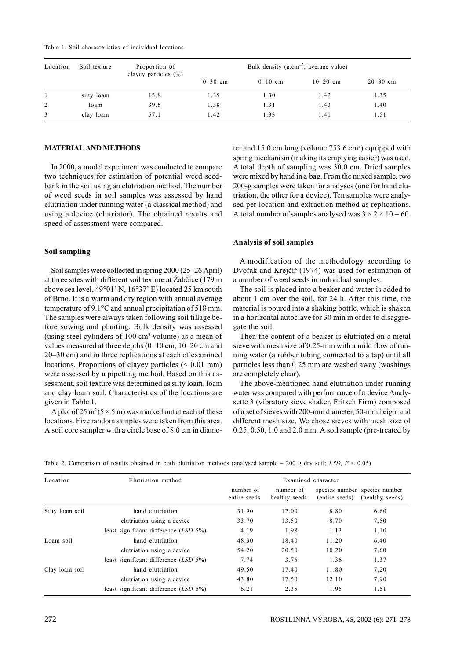|  |  | Table 1. Soil characteristics of individual locations |  |  |  |
|--|--|-------------------------------------------------------|--|--|--|
|--|--|-------------------------------------------------------|--|--|--|

| Location | Soil texture | Proportion of<br>clayey particles $(\% )$ |             | Bulk density $(g.cm^{-3})$ , average value) |            |              |
|----------|--------------|-------------------------------------------|-------------|---------------------------------------------|------------|--------------|
|          |              |                                           | $0 - 30$ cm | $0-10$ cm                                   | $10-20$ cm | $20 - 30$ cm |
|          | silty loam   | 15.8                                      | 1.35        | 1.30                                        | 1.42       | 1.35         |
| 2        | loam         | 39.6                                      | 1.38        | 1.31                                        | 1.43       | 1.40         |
| 3        | clay loam    | 57.1                                      | 1.42        | 1.33                                        | 1.41       | 1.51         |

#### **MATERIAL AND METHODS**

In 2000, a model experiment was conducted to compare two techniques for estimation of potential weed seedbank in the soil using an elutriation method. The number of weed seeds in soil samples was assessed by hand elutriation under running water (a classical method) and using a device (elutriator). The obtained results and speed of assessment were compared.

## Soil sampling

Soil samples were collected in spring 2000 (25–26 April) at three sites with different soil texture at Žabčice (179 m above sea level,  $49^{\circ}01'$  N,  $16^{\circ}37'$  E) located 25 km south of Brno. It is a warm and dry region with annual average temperature of 9.1°C and annual precipitation of 518 mm. The samples were always taken following soil tillage before sowing and planting. Bulk density was assessed (using steel cylinders of  $100 \text{ cm}^3$  volume) as a mean of values measured at three depths (0-10 cm, 10-20 cm and 20–30 cm) and in three replications at each of examined locations. Proportions of clayey particles  $( $0.01 \text{ mm}$ )$ were assessed by a pipetting method. Based on this assessment, soil texture was determined as silty loam, loam and clay loam soil. Characteristics of the locations are given in Table 1.

A plot of 25 m<sup>2</sup> (5  $\times$  5 m) was marked out at each of these locations. Five random samples were taken from this area. A soil core sampler with a circle base of 8.0 cm in diameter and 15.0 cm long (volume  $753.6$  cm<sup>3</sup>) equipped with spring mechanism (making its emptying easier) was used. A total depth of sampling was 30.0 cm. Dried samples were mixed by hand in a bag. From the mixed sample, two 200-g samples were taken for analyses (one for hand elutriation, the other for a device). Ten samples were analysed per location and extraction method as replications. A total number of samples analysed was  $3 \times 2 \times 10 = 60$ .

#### Analysis of soil samples

A modification of the methodology according to Dvořák and Krejčíř (1974) was used for estimation of a number of weed seeds in individual samples.

The soil is placed into a beaker and water is added to about 1 cm over the soil, for 24 h. After this time, the material is poured into a shaking bottle, which is shaken in a horizontal autoclave for 30 min in order to disaggregate the soil.

Then the content of a beaker is elutriated on a metal sieve with mesh size of 0.25-mm with a mild flow of running water (a rubber tubing connected to a tap) until all particles less than 0.25 mm are washed away (washings are completely clear).

The above-mentioned hand elutriation under running water was compared with performance of a device Analysette 3 (vibratory sieve shaker, Fritsch Firm) composed of a set of sieves with 200-mm diameter, 50-mm height and different mesh size. We chose sieves with mesh size of  $0.25, 0.50, 1.0$  and  $2.0$  mm. A soil sample (pre-treated by

| Location        | Elutriation method                       | Examined character        |                            |                |                                                  |  |  |
|-----------------|------------------------------------------|---------------------------|----------------------------|----------------|--------------------------------------------------|--|--|
|                 |                                          | number of<br>entire seeds | number of<br>healthy seeds | (entire seeds) | species number species number<br>(healthy seeds) |  |  |
| Silty loam soil | hand elutriation                         | 31.90                     | 12.00                      | 8.80           | 6.60                                             |  |  |
|                 | elutriation using a device               | 33.70                     | 13.50                      | 8.70           | 7.50                                             |  |  |
|                 | least significant difference $(LSD 5%)$  | 4.19                      | 1.98                       | 1.13           | 1.10                                             |  |  |
| Loam soil       | hand elutriation                         | 48.30                     | 18.40                      | 11.20          | 6.40                                             |  |  |
|                 | elutriation using a device               | 54.20                     | 20.50                      | 10.20          | 7.60                                             |  |  |
|                 | least significant difference $(LSD 5\%)$ | 7.74                      | 3.76                       | 1.36           | 1.37                                             |  |  |
| Clay loam soil  | hand elutriation                         | 49.50                     | 17.40                      | 11.80          | 7.20                                             |  |  |
|                 | elutriation using a device               | 43.80                     | 17.50                      | 12.10          | 7.90                                             |  |  |
|                 | least significant difference $(LSD 5%)$  | 6.21                      | 2.35                       | 1.95           | 1.51                                             |  |  |

Table 2. Comparison of results obtained in both elutriation methods (analysed sample – 200 g dry soil; LSD,  $P \le 0.05$ )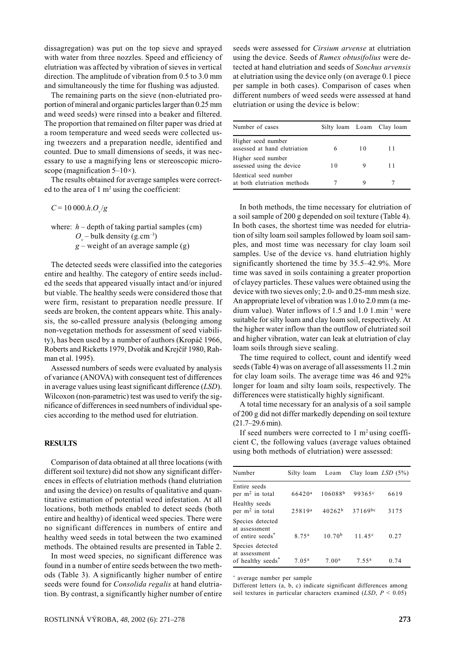dissagregation) was put on the top sieve and sprayed with water from three nozzles. Speed and efficiency of elutriation was affected by vibration of sieves in vertical direction. The amplitude of vibration from 0.5 to 3.0 mm and simultaneously the time for flushing was adjusted.

The remaining parts on the sieve (non-elutriated proportion of mineral and organic particles larger than 0.25 mm and weed seeds) were rinsed into a beaker and filtered. The proportion that remained on filter paper was dried at a room temperature and weed seeds were collected using tweezers and a preparation needle, identified and counted. Due to small dimensions of seeds, it was necessary to use a magnifying lens or stereoscopic microscope (magnification  $5-10\times$ ).

The results obtained for average samples were corrected to the area of  $1 \text{ m}^2$  using the coefficient:

 $C = 10000.h.O_y/g$ 

where:  $h$  – depth of taking partial samples (cm)  $O_{n}$  – bulk density (g.cm<sup>-3</sup>)  $g$  – weight of an average sample (g)

The detected seeds were classified into the categories entire and healthy. The category of entire seeds included the seeds that appeared visually intact and/or injured but viable. The healthy seeds were considered those that were firm, resistant to preparation needle pressure. If seeds are broken, the content appears white. This analysis, the so-called pressure analysis (belonging among non-vegetation methods for assessment of seed viability), has been used by a number of authors (Kropáč 1966, Roberts and Ricketts 1979, Dvořák and Krejčíř 1980, Rahman et al. 1995).

Assessed numbers of seeds were evaluated by analysis of variance (ANOVA) with consequent test of differences in average values using least significant difference (LSD). Wilcoxon (non-parametric) test was used to verify the significance of differences in seed numbers of individual species according to the method used for elutriation.

## **RESULTS**

Comparison of data obtained at all three locations (with different soil texture) did not show any significant differences in effects of elutriation methods (hand elutriation and using the device) on results of qualitative and quantitative estimation of potential weed infestation. At all locations, both methods enabled to detect seeds (both entire and healthy) of identical weed species. There were no significant differences in numbers of entire and healthy weed seeds in total between the two examined methods. The obtained results are presented in Table 2.

In most weed species, no significant difference was found in a number of entire seeds between the two methods (Table 3). A significantly higher number of entire seeds were found for *Consolida regalis* at hand elutriation. By contrast, a significantly higher number of entire seeds were assessed for *Cirsium arvense* at elutriation using the device. Seeds of *Rumex obtusifolius* were detected at hand elutriation and seeds of Sonchus arvensis at elutriation using the device only (on average 0.1 piece per sample in both cases). Comparison of cases when different numbers of weed seeds were assessed at hand elutriation or using the device is below:

| Number of cases                                      |    |    | Silty loam Loam Clay loam |
|------------------------------------------------------|----|----|---------------------------|
| Higher seed number<br>assessed at hand elutriation   | 6  | 10 | 11                        |
| Higher seed number<br>assessed using the device      | 10 |    | 11                        |
| Identical seed number<br>at both elutriation methods |    |    |                           |

In both methods, the time necessary for elutriation of a soil sample of 200 g depended on soil texture (Table 4). In both cases, the shortest time was needed for elutriation of silty loam soil samples followed by loam soil samples, and most time was necessary for clay loam soil samples. Use of the device vs. hand elutriation highly significantly shortened the time by 35.5–42.9%. More time was saved in soils containing a greater proportion of clayey particles. These values were obtained using the device with two sieves only; 2.0- and 0.25-mm mesh size. An appropriate level of vibration was 1.0 to 2.0 mm (a medium value). Water inflows of 1.5 and 1.0  $1 \text{.min}^{-1}$  were suitable for silty loam and clay loam soil, respectively. At the higher water inflow than the outflow of elutriated soil and higher vibration, water can leak at elutriation of clay loam soils through sieve sealing.

The time required to collect, count and identify weed seeds (Table 4) was on average of all assessments 11.2 min for clay loam soils. The average time was 46 and 92% longer for loam and silty loam soils, respectively. The differences were statistically highly significant.

A total time necessary for an analysis of a soil sample of 200 g did not differ markedly depending on soil texture  $(21.7 - 29.6 \text{ min}).$ 

If seed numbers were corrected to  $1 \text{ m}^2$  using coefficient C, the following values (average values obtained using both methods of elutriation) were assessed:

| Number                                                             | Silty loam         | Loam                | Clay loam $LSD(5%)$ |      |
|--------------------------------------------------------------------|--------------------|---------------------|---------------------|------|
| Entire seeds<br>per $m2$ in total                                  | 66420 <sup>a</sup> | 106088 <sup>b</sup> | 99365 <sup>c</sup>  | 6619 |
| Healthy seeds<br>per m <sup>2</sup> in total                       | $25819^{a}$        | 40262 <sup>b</sup>  | $37169^{bc}$        | 3175 |
| Species detected<br>at assessment<br>of entire seeds <sup>*</sup>  | 8 75 <sup>a</sup>  | $10,70^{b}$         | 11.45c              | 0.27 |
| Species detected<br>at assessment<br>of healthy seeds <sup>*</sup> | 7.05 <sup>a</sup>  | 7.00 <sup>a</sup>   | 755 <sup>a</sup>    | 0.74 |

\* average number per sample

Different letters (a, b, c) indicate significant differences among soil textures in particular characters examined (LSD,  $P \le 0.05$ )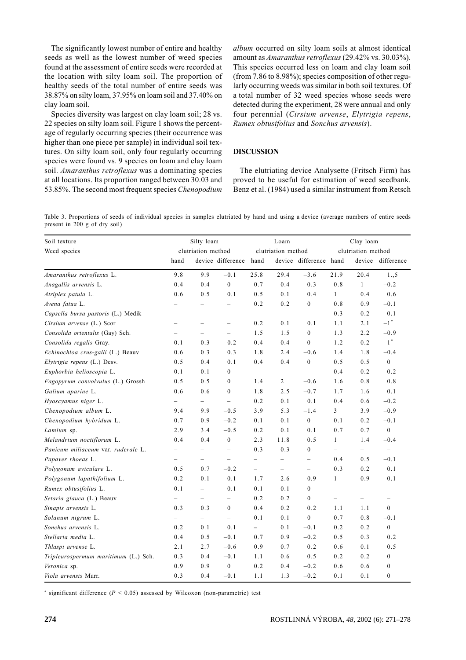The significantly lowest number of entire and healthy seeds as well as the lowest number of weed species found at the assessment of entire seeds were recorded at the location with silty loam soil. The proportion of healthy seeds of the total number of entire seeds was 38.87% on silty loam, 37.95% on loam soil and 37.40% on clay loam soil.

Species diversity was largest on clay loam soil; 28 vs. 22 species on silty loam soil. Figure 1 shows the percentage of regularly occurring species (their occurrence was higher than one piece per sample) in individual soil textures. On silty loam soil, only four regularly occurring species were found vs. 9 species on loam and clay loam soil. Amaranthus retroflexus was a dominating species at all locations. Its proportion ranged between 30.03 and 53.85%. The second most frequent species *Chenopodium* 

album occurred on silty loam soils at almost identical amount as Amaranthus retroflexus  $(29.42\% \text{ vs. } 30.03\%)$ . This species occurred less on loam and clay loam soil (from 7.86 to 8.98%); species composition of other regularly occurring weeds was similar in both soil textures. Of a total number of 32 weed species whose seeds were detected during the experiment, 28 were annual and only four perennial (Cirsium arvense, Elytrigia repens, Rumex obtusifolius and Sonchus arvensis).

## **DISCUSSION**

The elutriating device Analysette (Fritsch Firm) has proved to be useful for estimation of weed seedbank. Benz et al. (1984) used a similar instrument from Retsch

Table 3. Proportions of seeds of individual species in samples elutriated by hand and using a device (average numbers of entire seeds present in 200 g of dry soil)

| Soil texture                         | Silty loam               |                          |                                   | Loam<br>elutriation method |                          |                          | Clay loam<br>elutriation method |                          |                          |
|--------------------------------------|--------------------------|--------------------------|-----------------------------------|----------------------------|--------------------------|--------------------------|---------------------------------|--------------------------|--------------------------|
| Weed species                         | elutriation method       |                          |                                   |                            |                          |                          |                                 |                          |                          |
|                                      | hand                     |                          | device difference hand            |                            |                          | device difference hand   |                                 |                          | device difference        |
| Amaranthus retroflexus L.            | 9.8                      | 9.9                      | $-0.1$                            | 25.8                       | 29.4                     | $-3.6$                   | 21.9                            | 20.4                     | 1., 5                    |
| Anagallis arvensis L.                | 0.4                      | 0.4                      | $\boldsymbol{0}$                  | 0.7                        | 0.4                      | 0.3                      | 0.8                             | $\mathbf{1}$             | $-0.2$                   |
| Atriplex patula L.                   | 0.6                      | 0.5                      | 0.1                               | 0.5                        | 0.1                      | 0.4                      | $\mathbf{1}$                    | 0.4                      | 0.6                      |
| Avena fatua L.                       |                          |                          | $\qquad \qquad -$                 | 0.2                        | 0.2                      | $\boldsymbol{0}$         | 0.8                             | 0.9                      | $-0.1$                   |
| Capsella bursa pastoris (L.) Medik   |                          | $\overline{\phantom{0}}$ | $\equiv$                          | $\equiv$                   | $\equiv$                 | $\equiv$                 | 0.3                             | 0.2                      | 0.1                      |
| Cirsium arvense (L.) Scor            | $\equiv$                 | $\overline{\phantom{0}}$ | $\overline{\phantom{0}}$          | 0.2                        | 0.1                      | 0.1                      | 1.1                             | 2.1                      | $-1\,^*$                 |
| Consolida orientalis (Gay) Sch.      | $\overline{\phantom{0}}$ | $\overline{\phantom{0}}$ | $\qquad \qquad -$                 | 1.5                        | 1.5                      | $\boldsymbol{0}$         | 1.3                             | 2.2                      | $-0.9$                   |
| Consolida regalis Gray.              | 0.1                      | 0.3                      | $-0.2$                            | 0.4                        | 0.4                      | $\boldsymbol{0}$         | 1.2                             | 0.2                      | $1^*$                    |
| Echinochloa crus-galli (L.) Beauv    | 0.6                      | 0.3                      | 0.3                               | 1.8                        | 2.4                      | $-0.6$                   | 1.4                             | 1.8                      | $-0.4$                   |
| Elytrigia repens (L.) Desv.          | 0.5                      | 0.4                      | 0.1                               | 0.4                        | 0.4                      | $\boldsymbol{0}$         | 0.5                             | 0.5                      | $\mathbf{0}$             |
| Euphorbia helioscopia L.             | 0.1                      | 0.1                      | $\boldsymbol{0}$                  | $\overline{\phantom{0}}$   | $\overline{\phantom{0}}$ | $\overline{\phantom{0}}$ | 0.4                             | 0.2                      | 0.2                      |
| Fagopyrum convolvulus (L.) Grossh    | 0.5                      | 0.5                      | $\boldsymbol{0}$                  | 1.4                        | $\overline{2}$           | $-0.6$                   | 1.6                             | 0.8                      | $0.8$                    |
| Galium aparine L.                    | 0.6                      | 0.6                      | $\mathbf{0}$                      | 1.8                        | 2.5                      | $-0.7$                   | 1.7                             | 1.6                      | 0.1                      |
| Hyoscyamus niger L.                  | $\overline{\phantom{0}}$ | $\overline{\phantom{0}}$ | $\equiv$                          | 0.2                        | 0.1                      | 0.1                      | 0.4                             | 0.6                      | $-0.2$                   |
| Chenopodium album L.                 | 9.4                      | 9.9                      | $-0.5$                            | 3.9                        | 5.3                      | $-1.4$                   | 3                               | 3.9                      | $-0.9$                   |
| Chenopodium hybridum L.              | 0.7                      | 0.9                      | $-0.2$                            | 0.1                        | 0.1                      | $\boldsymbol{0}$         | 0.1                             | 0.2                      | $-0.1$                   |
| Lamium sp.                           | 2.9                      | 3.4                      | $-0.5$                            | 0.2                        | 0.1                      | 0.1                      | 0.7                             | 0.7                      | $\boldsymbol{0}$         |
| Melandrium noctiflorum L.            | 0.4                      | 0.4                      | $\boldsymbol{0}$                  | 2.3                        | 11.8                     | 0.5                      | $\mathbf{1}$                    | 1.4                      | $-0.4$                   |
| Panicum miliaceum var. ruderale L.   | $\overline{\phantom{0}}$ | $\overline{\phantom{0}}$ | $\qquad \qquad -$                 | 0.3                        | 0.3                      | $\boldsymbol{0}$         | $\overline{\phantom{0}}$        | $\overline{\phantom{0}}$ | $\overline{\phantom{0}}$ |
| Papaver rhoeas L.                    | $\overline{\phantom{0}}$ | $\overline{\phantom{0}}$ | $\hspace{0.1in} - \hspace{0.1in}$ | $\overline{\phantom{0}}$   | $\qquad \qquad -$        | $\qquad \qquad -$        | 0.4                             | 0.5                      | $-0.1$                   |
| Polygonum aviculare L.               | 0.5                      | 0.7                      | $-0.2$                            | $\overline{\phantom{0}}$   | $\overline{\phantom{a}}$ | $\qquad \qquad -$        | 0.3                             | 0.2                      | 0.1                      |
| Polygonum lapathifolium L.           | 0.2                      | 0.1                      | 0.1                               | 1.7                        | 2.6                      | $-0.9$                   | $\mathbf{1}$                    | 0.9                      | 0.1                      |
| Rumex obtusifolius L.                | 0.1                      | $\overline{\phantom{0}}$ | 0.1                               | 0.1                        | 0.1                      | $\boldsymbol{0}$         | $\equiv$                        | $\qquad \qquad -$        | $\overline{\phantom{0}}$ |
| Setaria glauca (L.) Beauv            |                          | $\overline{\phantom{a}}$ | $\qquad \qquad -$                 | 0.2                        | 0.2                      | $\boldsymbol{0}$         | $\overline{\phantom{0}}$        | $\qquad \qquad -$        | $\overline{\phantom{0}}$ |
| Sinapis arvensis L.                  | 0.3                      | 0.3                      | $\mathbf{0}$                      | 0.4                        | 0.2                      | 0.2                      | 1.1                             | 1.1                      | $\mathbf{0}$             |
| Solanum nigrum L.                    |                          | $\overline{\phantom{0}}$ | $\overline{\phantom{0}}$          | 0.1                        | 0.1                      | $\mathbf{0}$             | 0.7                             | 0.8                      | $-0.1$                   |
| Sonchus arvensis L.                  | 0.2                      | 0.1                      | 0.1                               | $\overline{\phantom{0}}$   | 0.1                      | $-0.1$                   | 0.2                             | 0.2                      | $\boldsymbol{0}$         |
| Stellaria media L.                   | 0.4                      | 0.5                      | $-0.1$                            | 0.7                        | 0.9                      | $-0.2$                   | 0.5                             | 0.3                      | 0.2                      |
| Thlaspi arvense L.                   | 2.1                      | 2.7                      | $-0.6$                            | 0.9                        | 0.7                      | 0.2                      | 0.6                             | 0.1                      | 0.5                      |
| Tripleurospermum maritimum (L.) Sch. | 0.3                      | 0.4                      | $-0.1$                            | 1.1                        | 0.6                      | 0.5                      | 0.2                             | 0.2                      | $\boldsymbol{0}$         |
| Veronica sp.                         | 0.9                      | 0.9                      | $\boldsymbol{0}$                  | 0.2                        | 0.4                      | $-0.2$                   | 0.6                             | 0.6                      | $\boldsymbol{0}$         |
| Viola arvensis Murr.                 | 0.3                      | 0.4                      | $-0.1$                            | 1.1                        | 1.3                      | $-0.2$                   | 0.1                             | 0.1                      | $\boldsymbol{0}$         |

\* significant difference ( $P < 0.05$ ) assessed by Wilcoxon (non-parametric) test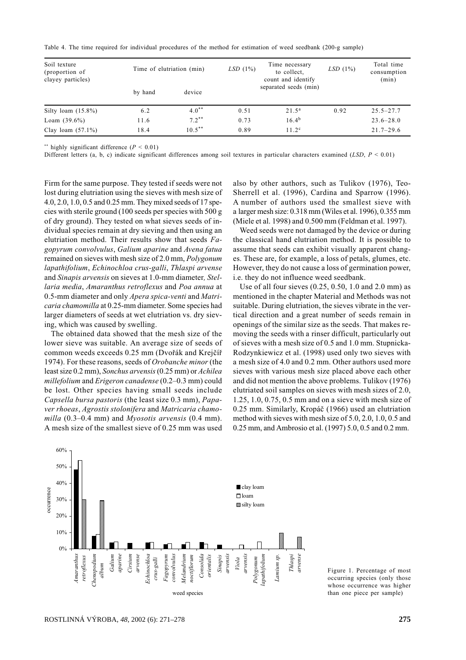Table 4. The time required for individual procedures of the method for estimation of weed seedbank (200-g sample)

| Soil texture<br>(proportion of<br>clayey particles) | Time of elutriation (min) |           | LSD(1%) | Time necessary<br>to collect,<br>count and identify | LSD(1%) | Total time<br>consumption<br>(min) |
|-----------------------------------------------------|---------------------------|-----------|---------|-----------------------------------------------------|---------|------------------------------------|
|                                                     | by hand                   | device    |         | separated seeds (min)                               |         |                                    |
| Silty loam $(15.8\%)$                               | 6.2                       | $4.0**$   | 0.51    | 21.5 <sup>a</sup>                                   | 0.92    | $25.5 - 27.7$                      |
| Loam $(39.6\%)$                                     | 11.6                      | $7.2***$  | 0.73    | $16.4^{b}$                                          |         | $23.6 - 28.0$                      |
| Clay loam $(57.1\%)$                                | 18.4                      | $10.5***$ | 0.89    | 11.2 <sup>c</sup>                                   |         | $21.7 - 29.6$                      |

\*\* highly significant difference ( $P < 0.01$ )

Different letters (a, b, c) indicate significant differences among soil textures in particular characters examined (LSD,  $P \le 0.01$ )

Firm for the same purpose. They tested if seeds were not lost during elutriation using the sieves with mesh size of 4.0, 2.0, 1.0, 0.5 and 0.25 mm. They mixed seeds of 17 species with sterile ground (100 seeds per species with 500 g of dry ground). They tested on what sieves seeds of individual species remain at dry sieving and then using an elutriation method. Their results show that seeds Fagopyrum convolvulus, Galium aparine and Avena fatua remained on sieves with mesh size of 2.0 mm, Polygonum lapathifolium, Echinochloa crus-galli, Thlaspi arvense and *Sinapis arvensis* on sieves at 1.0-mm diameter. *Stel*laria media, Amaranthus retroflexus and Poa annua at 0.5-mm diameter and only Apera spica-venti and Matricaria chamomilla at 0.25-mm diameter. Some species had larger diameters of seeds at wet elutriation vs. dry sieving, which was caused by swelling.

The obtained data showed that the mesh size of the lower sieve was suitable. An average size of seeds of common weeds exceeds 0.25 mm (Dvořák and Krejčíř 1974). For these reasons, seeds of Orobanche minor (the least size 0.2 mm), Sonchus arvensis (0.25 mm) or Achilea millefolium and Erigeron canadense (0.2–0.3 mm) could be lost. Other species having small seeds include Capsella bursa pastoris (the least size 0.3 mm), Papaver rhoeas, Agrostis stolonifera and Matricaria chamomilla  $(0.3-0.4$  mm) and *Myosotis arvensis*  $(0.4$  mm). A mesh size of the smallest sieve of 0.25 mm was used also by other authors, such as Tulikov (1976), Teo-Sherrell et al. (1996), Cardina and Sparrow (1996). A number of authors used the smallest sieve with a larger mesh size: 0.318 mm (Wiles et al. 1996), 0.355 mm (Miele et al. 1998) and 0.500 mm (Feldman et al. 1997).

Weed seeds were not damaged by the device or during the classical hand elutriation method. It is possible to assume that seeds can exhibit visually apparent changes. These are, for example, a loss of petals, glumes, etc. However, they do not cause a loss of germination power, i.e. they do not influence weed seedbank.

Use of all four sieves  $(0.25, 0.50, 1.0, \text{and } 2.0, \text{mm})$  as mentioned in the chapter Material and Methods was not suitable. During elutriation, the sieves vibrate in the vertical direction and a great number of seeds remain in openings of the similar size as the seeds. That makes removing the seeds with a rinser difficult, particularly out of sieves with a mesh size of 0.5 and 1.0 mm. Stupnicka-Rodzynkiewicz et al. (1998) used only two sieves with a mesh size of 4.0 and 0.2 mm. Other authors used more sieves with various mesh size placed above each other and did not mention the above problems. Tulikov (1976) elutriated soil samples on sieves with mesh sizes of 2.0,  $1.25, 1.0, 0.75, 0.5$  mm and on a sieve with mesh size of 0.25 mm. Similarly, Kropáč (1966) used an elutriation method with sieves with mesh size of 5.0, 2.0, 1.0, 0.5 and 0.25 mm, and Ambrosio et al. (1997) 5.0, 0.5 and 0.2 mm.

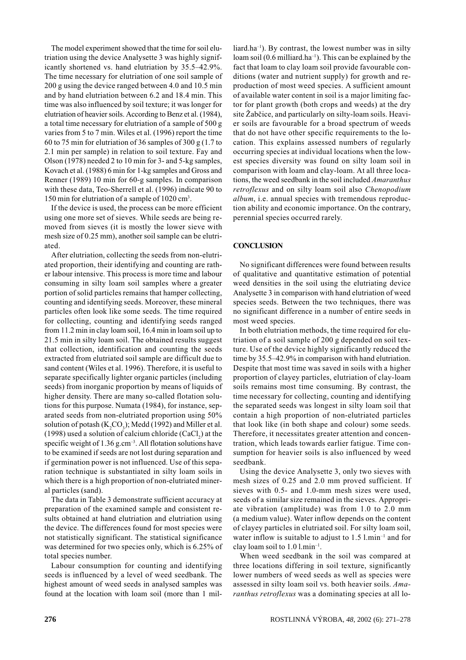The model experiment showed that the time for soil elutriation using the device Analysette 3 was highly significantly shortened vs. hand elutriation by 35.5-42.9%. The time necessary for elutriation of one soil sample of 200 g using the device ranged between 4.0 and 10.5 min and by hand elutriation between 6.2 and 18.4 min. This time was also influenced by soil texture; it was longer for elutriation of heavier soils. According to Benz et al. (1984), a total time necessary for elutriation of a sample of 500 g varies from 5 to 7 min. Wiles et al. (1996) report the time 60 to 75 min for elutriation of 36 samples of 300  $\sigma$  (1.7 to 2.1 min per sample) in relation to soil texture. Fay and Olson (1978) needed 2 to 10 min for 3- and 5-kg samples. Kovach et al. (1988) 6 min for 1-kg samples and Gross and Renner (1989) 10 min for 60-g samples. In comparison with these data. Teo-Sherrell et al. (1996) indicate 90 to 150 min for elutriation of a sample of 1020 cm<sup>3</sup>.

If the device is used, the process can be more efficient using one more set of sieves. While seeds are being removed from sieves (it is mostly the lower sieve with mesh size of 0.25 mm), another soil sample can be elutriated.

After elutriation, collecting the seeds from non-elutriated proportion, their identifying and counting are rather labour intensive. This process is more time and labour consuming in silty loam soil samples where a greater portion of solid particles remains that hamper collecting, counting and identifying seeds. Moreover, these mineral particles often look like some seeds. The time required for collecting, counting and identifying seeds ranged from 11.2 min in clay loam soil, 16.4 min in loam soil up to 21.5 min in silty loam soil. The obtained results suggest that collection, identification and counting the seeds extracted from elutriated soil sample are difficult due to sand content (Wiles et al. 1996). Therefore, it is useful to separate specifically lighter organic particles (including seeds) from inorganic proportion by means of liquids of higher density. There are many so-called flotation solutions for this purpose. Numata (1984), for instance, separated seeds from non-elutriated proportion using 50% solution of potash (K,CO<sub>2</sub>); Medd (1992) and Miller et al. (1998) used a solution of calcium chloride (CaCl<sub>2</sub>) at the specific weight of 1.36 g.cm<sup>-3</sup>. All flotation solutions have to be examined if seeds are not lost during separation and if germination power is not influenced. Use of this separation technique is substantiated in silty loam soils in which there is a high proportion of non-elutriated mineral particles (sand).

The data in Table 3 demonstrate sufficient accuracy at preparation of the examined sample and consistent results obtained at hand elutriation and elutriation using the device. The differences found for most species were not statistically significant. The statistical significance was determined for two species only, which is 6.25% of total species number.

Labour consumption for counting and identifying seeds is influenced by a level of weed seedbank. The highest amount of weed seeds in analysed samples was found at the location with loam soil (more than 1 mil $liard.ha^{-1}$ ). By contrast, the lowest number was in silty loam soil  $(0.6 \text{ milliard.ha}^{-1})$ . This can be explained by the fact that loam to clay loam soil provide favourable conditions (water and nutrient supply) for growth and reproduction of most weed species. A sufficient amount of available water content in soil is a major limiting factor for plant growth (both crops and weeds) at the dry site Žabčice, and particularly on silty-loam soils. Heavier soils are favourable for a broad spectrum of weeds that do not have other specific requirements to the location. This explains assessed numbers of regularly occurring species at individual locations when the lowest species diversity was found on silty loam soil in comparison with loam and clay-loam. At all three locations, the weed seedbank in the soil included Amaranthus retroflexus and on silty loam soil also Chenopodium *album*, *i.e.* annual species with tremendous reproduction ability and economic importance. On the contrary, perennial species occurred rarely.

# **CONCLUSION**

No significant differences were found between results of qualitative and quantitative estimation of potential weed densities in the soil using the elutriating device Analysette 3 in comparison with hand elutriation of weed species seeds. Between the two techniques, there was no significant difference in a number of entire seeds in most weed species.

In both elutriation methods, the time required for elutriation of a soil sample of 200 g depended on soil texture. Use of the device highly significantly reduced the time by 35.5–42.9% in comparison with hand elutriation. Despite that most time was saved in soils with a higher proportion of clayey particles, elutriation of clay-loam soils remains most time consuming. By contrast, the time necessary for collecting, counting and identifying the separated seeds was longest in silty loam soil that contain a high proportion of non-elutriated particles that look like (in both shape and colour) some seeds. Therefore, it necessitates greater attention and concentration, which leads towards earlier fatigue. Time consumption for heavier soils is also influenced by weed seedbank.

Using the device Analysette 3, only two sieves with mesh sizes of 0.25 and 2.0 mm proved sufficient. If sieves with 0.5- and 1.0-mm mesh sizes were used, seeds of a similar size remained in the sieves. Appropriate vibration (amplitude) was from 1.0 to 2.0 mm (a medium value). Water inflow depends on the content of clayey particles in elutriated soil. For silty loam soil, water inflow is suitable to adjust to  $1.5$  l.min<sup>-1</sup> and for clay loam soil to  $1.0$  l.min<sup>-1</sup>.

When weed seedbank in the soil was compared at three locations differing in soil texture, significantly lower numbers of weed seeds as well as species were assessed in silty loam soil vs. both heavier soils. Amaranthus retroflexus was a dominating species at all lo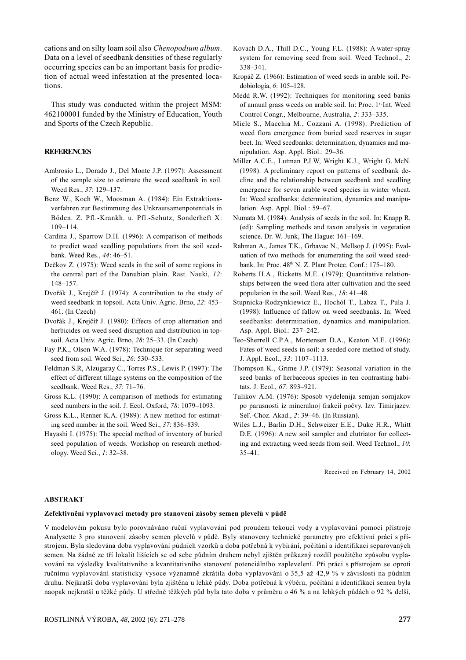cations and on silty loam soil also Chenopodium album. Data on a level of seedbank densities of these regularly occurring species can be an important basis for prediction of actual weed infestation at the presented locations

This study was conducted within the project MSM: 462100001 funded by the Ministry of Education, Youth and Sports of the Czech Republic.

#### **REFERENCES**

- Ambrosio L., Dorado J., Del Monte J.P. (1997): Assessment of the sample size to estimate the weed seedbank in soil. Weed Res., 37: 129-137.
- Benz W., Koch W., Moosman A. (1984): Ein Extraktionsverfahren zur Bestimmung des Unkrautsamenpotentials in Böden. Z. Pfl.-Krankh. u. Pfl.-Schutz, Sonderheft X:  $109 - 114.$
- Cardina J., Sparrow D.H. (1996): A comparison of methods to predict weed seedling populations from the soil seedbank. Weed Res., 44: 46-51.
- Dečkov Z. (1975): Weed seeds in the soil of some regions in the central part of the Danubian plain. Rast. Nauki, 12:  $148 - 157$ .
- Dvořák J., Krejčíř J. (1974): A contribution to the study of weed seedbank in topsoil. Acta Univ. Agric. Brno, 22: 453-461. (In Czech)
- Dvořák J., Krejčíř J. (1980): Effects of crop alternation and herbicides on weed seed disruption and distribution in topsoil. Acta Univ. Agric. Brno, 28: 25–33. (In Czech)
- Fay P.K., Olson W.A. (1978): Technique for separating weed seed from soil. Weed Sci., 26: 530-533.
- Feldman S.R, Alzugaray C., Torres P.S., Lewis P. (1997): The effect of different tillage systems on the composition of the seedbank. Weed Res., 37: 71-76.
- Gross K.L. (1990): A comparison of methods for estimating seed numbers in the soil. J. Ecol. Oxford, 78: 1079-1093.
- Gross K.L., Renner K.A. (1989): A new method for estimating seed number in the soil. Weed Sci., 37: 836-839.
- Hayashi I. (1975): The special method of inventory of buried seed population of weeds. Workshop on research methodology. Weed Sci., 1: 32-38.
- Kovach D.A., Thill D.C., Young F.L. (1988): A water-spray system for removing seed from soil. Weed Technol., 2:  $338 - 341$ .
- Kropáč Z. (1966): Estimation of weed seeds in arable soil. Pedobiologia. 6: 105-128.
- Medd R.W. (1992): Techniques for monitoring seed banks of annual grass weeds on arable soil. In: Proc. 1st Int. Weed Control Congr., Melbourne, Australia, 2: 333-335.
- Miele S., Macchia M., Cozzani A. (1998): Prediction of weed flora emergence from buried seed reserves in sugar beet. In: Weed seedbanks: determination, dynamics and manipulation. Asp. Appl. Biol.: 29-36.
- Miller A.C.E., Lutman P.J.W. Wright K.J., Wright G. McN. (1998): A preliminary report on patterns of seedbank decline and the relationship between seedbank and seedling emergence for seven arable weed species in winter wheat. In: Weed seedbanks: determination, dynamics and manipulation. Asp. Appl. Biol.: 59–67.
- Numata M. (1984): Analysis of seeds in the soil. In: Knapp R. (ed): Sampling methods and taxon analysis in vegetation science. Dr. W. Junk, The Hague: 161-169.
- Rahman A., James T.K., Grbavac N., Mellson J. (1995): Evaluation of two methods for enumerating the soil weed seedbank. In: Proc. 48<sup>th</sup> N. Z. Plant Protec. Conf.: 175-180.
- Roberts H.A., Ricketts M.E. (1979): Quantitative relationships between the weed flora after cultivation and the seed population in the soil. Weed Res., 18: 41–48.
- Stupnicka-Rodzynkiewicz E., Hochól T., Labza T., Pula J. (1998): Influence of fallow on weed seedbanks. In: Weed seedbanks: determination, dynamics and manipulation. Asp. Appl. Biol.: 237-242.
- Teo-Sherrell C.P.A., Mortensen D.A., Keaton M.E. (1996): Fates of weed seeds in soil: a seeded core method of study. J. Appl. Ecol., 33: 1107-1113.
- Thompson K., Grime J.P. (1979): Seasonal variation in the seed banks of herbaceous species in ten contrasting habitats. J. Ecol., 67: 893-921.
- Tulikov A.M. (1976): Sposob vydelenija semjan sornjakov po parusnosti iz mineralnoj frakcii počvy. Izv. Timirjazev. Sel'.-Choz. Akad., 2: 39-46. (In Russian).
- Wiles L.J., Barlin D.H., Schweizer E.E., Duke H.R., Whitt D.E. (1996): A new soil sampler and elutriator for collecting and extracting weed seeds from soil. Weed Technol., 10:  $35 - 41$ .

Received on February 14, 2002

#### **ABSTRAKT**

#### Zefektivnění vyplavovací metody pro stanovení zásoby semen plevelů v půdě

V modelovém pokusu bylo porovnáváno ruční vyplavování pod proudem tekoucí vody a vyplavování pomocí přístroje Analysette 3 pro stanovení zásoby semen plevelů v půdě. Byly stanoveny technické parametry pro efektivní práci s přístrojem. Byla sledována doba vyplavování půdních vzorků a doba potřebná k vybírání, počítání a identifikaci separovaných semen. Na žádné ze tří lokalit lišících se od sebe půdním druhem nebyl zjištěn průkazný rozdíl použitého způsobu vyplavování na výsledky kvalitativního a kvantitativního stanovení potenciálního zaplevelení. Při práci s přístrojem se oproti ručnímu vyplavování statisticky vysoce významně zkrátila doba vyplavování o 35,5 až 42,9 % v závislosti na půdním druhu. Nejkratší doba vyplavování byla zjištěna u lehké půdy. Doba potřebná k výběru, počítání a identifikaci semen byla naopak nejkratší u těžké půdy. U středně těžkých půd byla tato doba v průměru o 46 % a na lehkých půdách o 92 % delší,